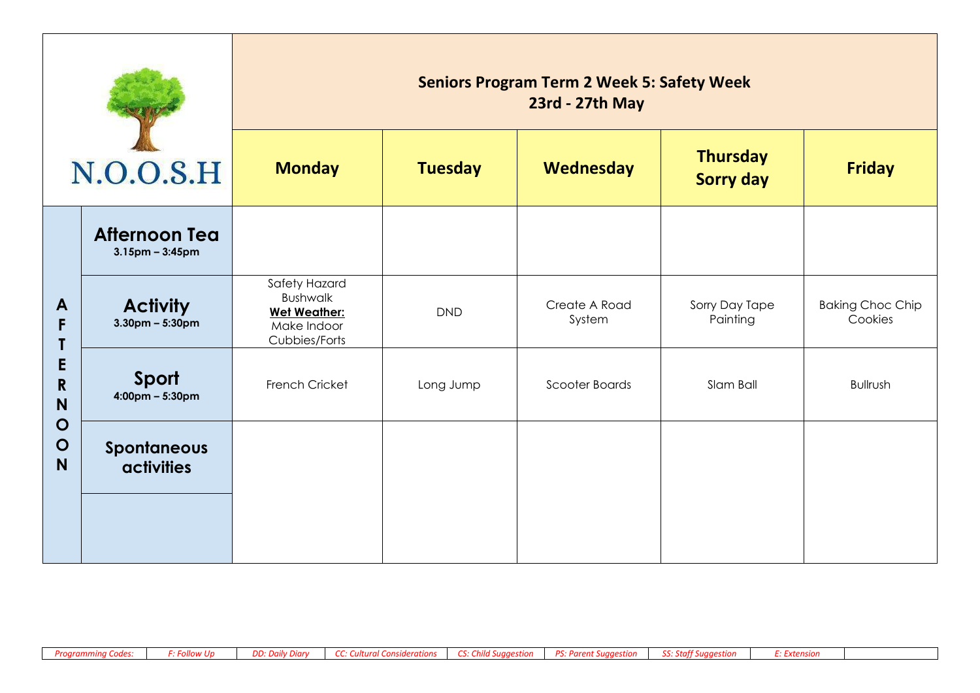| N.O.O.S.H                                  |                                               | <b>Seniors Program Term 2 Week 5: Safety Week</b><br>23rd - 27th May                    |                |                                                  |                            |                                    |  |  |  |
|--------------------------------------------|-----------------------------------------------|-----------------------------------------------------------------------------------------|----------------|--------------------------------------------------|----------------------------|------------------------------------|--|--|--|
|                                            |                                               | <b>Monday</b>                                                                           | <b>Tuesday</b> | <b>Thursday</b><br>Wednesday<br><b>Sorry day</b> |                            | <b>Friday</b>                      |  |  |  |
|                                            | <b>Afternoon Tea</b><br>$3.15$ pm - $3:45$ pm |                                                                                         |                |                                                  |                            |                                    |  |  |  |
| $\mathbf{A}$<br>F<br>E<br>$\mathbf R$<br>N | <b>Activity</b><br>$3.30$ pm – 5:30pm         | Safety Hazard<br><b>Bushwalk</b><br><b>Wet Weather:</b><br>Make Indoor<br>Cubbies/Forts | <b>DND</b>     | Create A Road<br>System                          | Sorry Day Tape<br>Painting | <b>Baking Choc Chip</b><br>Cookies |  |  |  |
|                                            | Sport<br>$4:00 \text{pm} - 5:30 \text{pm}$    | French Cricket                                                                          | Long Jump      | Scooter Boards                                   | Slam Ball                  | <b>Bullrush</b>                    |  |  |  |
| $\mathbf O$<br>$\mathbf O$<br>N            | <b>Spontaneous</b><br><b>activities</b>       |                                                                                         |                |                                                  |                            |                                    |  |  |  |
|                                            |                                               |                                                                                         |                |                                                  |                            |                                    |  |  |  |

÷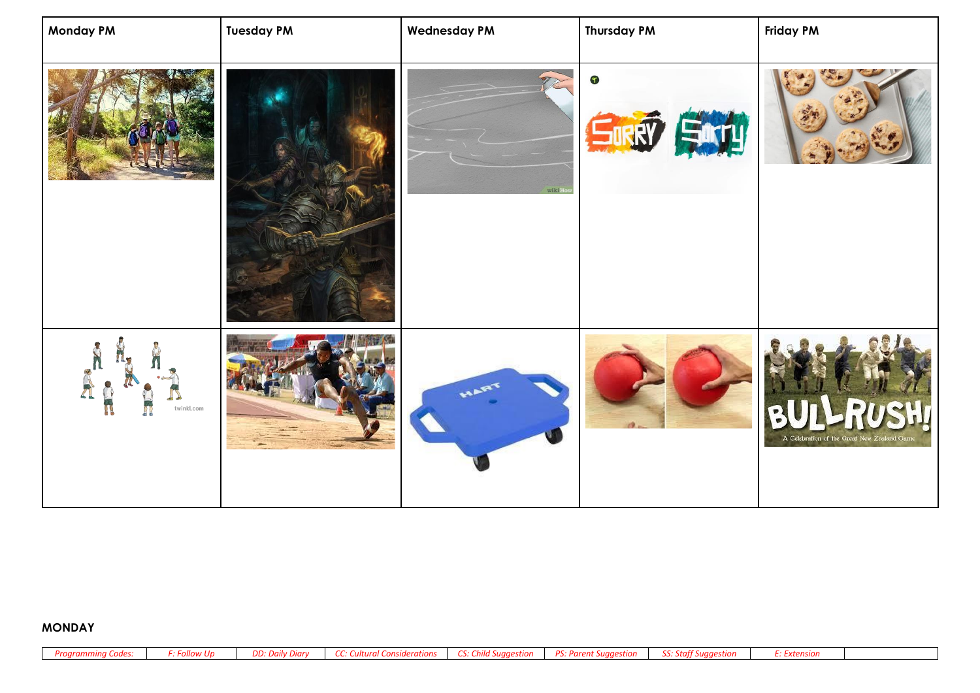| <b>Monday PM</b> | <b>Tuesday PM</b> | <b>Wednesday PM</b> | <b>Thursday PM</b> | <b>Friday PM</b>                           |
|------------------|-------------------|---------------------|--------------------|--------------------------------------------|
|                  |                   | wikiFt              | $\bullet$          |                                            |
| twinkl.com       |                   |                     |                    | A Celebration of the Great New Zealand Gam |

## **MONDAY**

| Proarammina Codes: | <b>F: Follow Up</b> | DD: Daily Diary | <b>CC: Cultural Considerations</b> | CS: Child Suggestion | PS: Parent Suggestion | SS: Staff Suggestion |  |
|--------------------|---------------------|-----------------|------------------------------------|----------------------|-----------------------|----------------------|--|